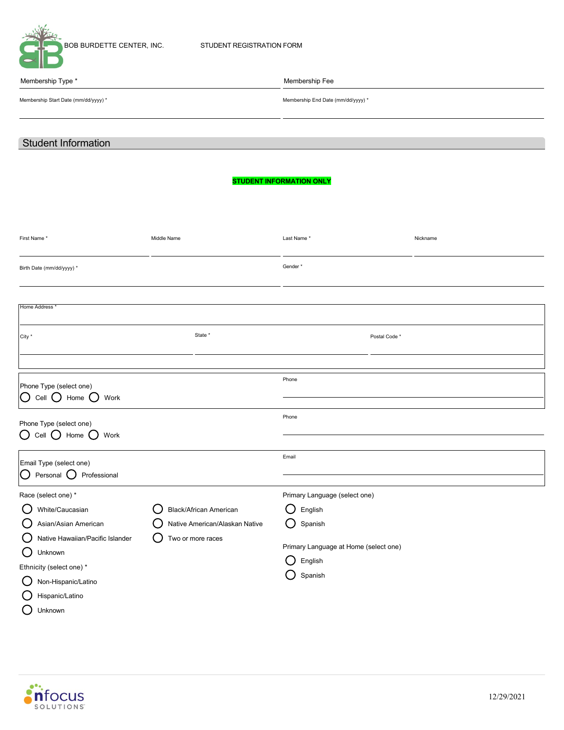

Membership Start Date (mm/dd/yyyy) \* <br>Membership End Date (mm/dd/yyyy) \*

Membership Type \* Membership Fee

# Student Information

## **STUDENT INFORMATION ONLY**

| First Name*                                                                                                                                                                                           | Middle Name                                                                   | Last Name*                                                                                                         | Nickname |
|-------------------------------------------------------------------------------------------------------------------------------------------------------------------------------------------------------|-------------------------------------------------------------------------------|--------------------------------------------------------------------------------------------------------------------|----------|
| Birth Date (mm/dd/yyyy) *                                                                                                                                                                             |                                                                               | Gender*                                                                                                            |          |
| <b>Home Address</b>                                                                                                                                                                                   |                                                                               |                                                                                                                    |          |
| City *                                                                                                                                                                                                | State *                                                                       | Postal Code *                                                                                                      |          |
|                                                                                                                                                                                                       |                                                                               |                                                                                                                    |          |
| Phone Type (select one)<br>Home<br>Work<br>Cell<br>$\left( \quad \right)$<br>O                                                                                                                        |                                                                               | Phone                                                                                                              |          |
| Phone Type (select one)<br>$\bigcirc$ Cell $\bigcirc$ Home<br>Work<br>- 1                                                                                                                             |                                                                               | Phone                                                                                                              |          |
| Email Type (select one)<br>Personal (<br>Professional<br>IÒ                                                                                                                                           |                                                                               | Email                                                                                                              |          |
| Race (select one) *<br>White/Caucasian<br>Asian/Asian American<br>Native Hawaiian/Pacific Islander<br>Unknown<br>( )<br>Ethnicity (select one) *<br>Non-Hispanic/Latino<br>Hispanic/Latino<br>Unknown | Black/African American<br>Native American/Alaskan Native<br>Two or more races | Primary Language (select one)<br>English<br>Spanish<br>Primary Language at Home (select one)<br>English<br>Spanish |          |

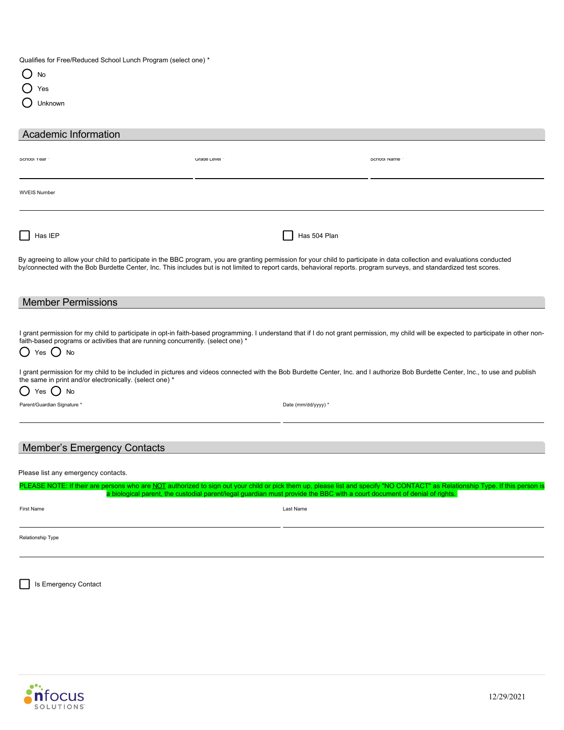Qualifies for Free/Reduced School Lunch Program (select one) \*

| .,<br>۰. | ٦<br>ć<br>×<br>۰, |
|----------|-------------------|
|          |                   |

| ×<br>×.<br>۰. | ۰,<br>٠<br>I |
|---------------|--------------|
|---------------|--------------|

Unknown

| <b>Academic Information</b> |                                                                                                                                                                                                                                                                                                                                                   |             |
|-----------------------------|---------------------------------------------------------------------------------------------------------------------------------------------------------------------------------------------------------------------------------------------------------------------------------------------------------------------------------------------------|-------------|
| School Year                 | Grade Level -                                                                                                                                                                                                                                                                                                                                     | School Name |
| <b>WVEIS Number</b>         |                                                                                                                                                                                                                                                                                                                                                   |             |
| Has IEP                     | Has 504 Plan                                                                                                                                                                                                                                                                                                                                      |             |
|                             | By agreeing to allow your child to participate in the BBC program, you are granting permission for your child to participate in data collection and evaluations conducted<br>by/connected with the Bob Burdette Center, Inc. This includes but is not limited to report cards, behavioral reports, program surveys, and standardized test scores. |             |

| Me<br>- --- 1-<br>$\sim$ $\sim$<br>moer<br>בו וטוכ |  |  |  |
|----------------------------------------------------|--|--|--|
|                                                    |  |  |  |
|                                                    |  |  |  |

I grant permission for my child to participate in opt-in faith-based programming. I understand that if I do not grant permission, my child will be expected to participate in other nonfaith-based programs or activities that are running concurrently. (select one) \*

# $\bigcirc$  Yes  $\bigcirc$  No

I grant permission for my child to be included in pictures and videos connected with the Bob Burdette Center, Inc. and I authorize Bob Burdette Center, Inc., to use and publish the same in print and/or electronically. (select one) \*

O Yes O No

Parent/Guardian Signature \* Date (mm/dd/yyyy) \* Date (mm/dd/yyyy) \*

## Member's Emergency Contacts

Please list any emergency contacts.

|                   | PLEASE NOTE: If their are persons who are NOT authorized to sign out your child or pick them up, please list and specify "NO CONTACT" as Relationship Type. If this person is<br>a biological parent, the custodial parent/legal guardian must provide the BBC with a court document of denial of rights. |  |
|-------------------|-----------------------------------------------------------------------------------------------------------------------------------------------------------------------------------------------------------------------------------------------------------------------------------------------------------|--|
| First Name        | Last Name                                                                                                                                                                                                                                                                                                 |  |
| Relationship Type |                                                                                                                                                                                                                                                                                                           |  |

Is Emergency Contact